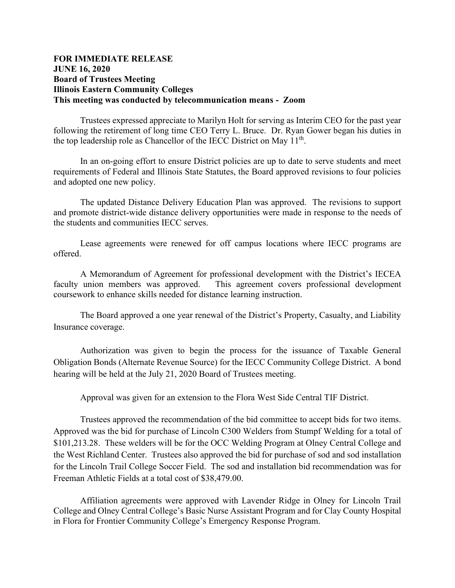## **FOR IMMEDIATE RELEASE JUNE 16, 2020 Board of Trustees Meeting Illinois Eastern Community Colleges This meeting was conducted by telecommunication means - Zoom**

Trustees expressed appreciate to Marilyn Holt for serving as Interim CEO for the past year following the retirement of long time CEO Terry L. Bruce. Dr. Ryan Gower began his duties in the top leadership role as Chancellor of the IECC District on May  $11<sup>th</sup>$ .

In an on-going effort to ensure District policies are up to date to serve students and meet requirements of Federal and Illinois State Statutes, the Board approved revisions to four policies and adopted one new policy.

The updated Distance Delivery Education Plan was approved. The revisions to support and promote district-wide distance delivery opportunities were made in response to the needs of the students and communities IECC serves.

Lease agreements were renewed for off campus locations where IECC programs are offered.

A Memorandum of Agreement for professional development with the District's IECEA faculty union members was approved. This agreement covers professional development coursework to enhance skills needed for distance learning instruction.

The Board approved a one year renewal of the District's Property, Casualty, and Liability Insurance coverage.

Authorization was given to begin the process for the issuance of Taxable General Obligation Bonds (Alternate Revenue Source) for the IECC Community College District. A bond hearing will be held at the July 21, 2020 Board of Trustees meeting.

Approval was given for an extension to the Flora West Side Central TIF District.

Trustees approved the recommendation of the bid committee to accept bids for two items. Approved was the bid for purchase of Lincoln C300 Welders from Stumpf Welding for a total of \$101,213.28. These welders will be for the OCC Welding Program at Olney Central College and the West Richland Center. Trustees also approved the bid for purchase of sod and sod installation for the Lincoln Trail College Soccer Field. The sod and installation bid recommendation was for Freeman Athletic Fields at a total cost of \$38,479.00.

Affiliation agreements were approved with Lavender Ridge in Olney for Lincoln Trail College and Olney Central College's Basic Nurse Assistant Program and for Clay County Hospital in Flora for Frontier Community College's Emergency Response Program.